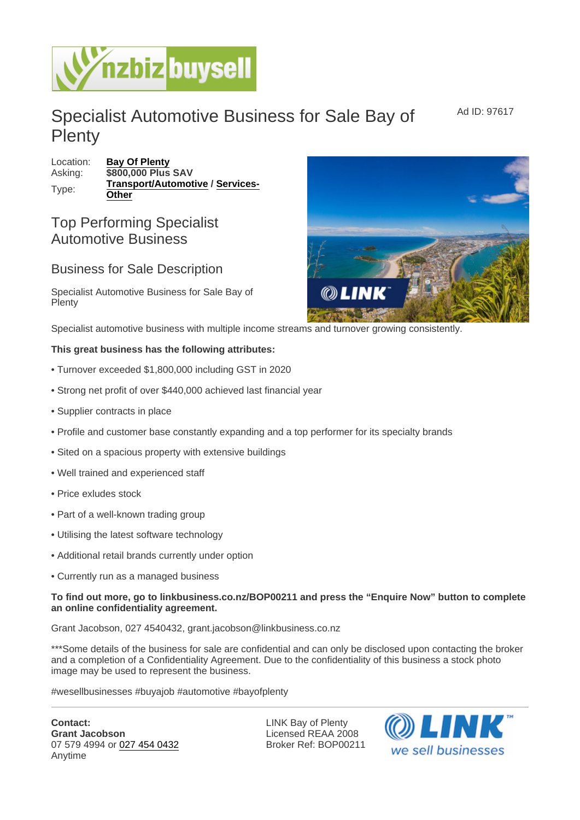## Specialist Automotive Business for Sale Bay of **Plenty**

Location: [Bay Of Plenty](https://www.nzbizbuysell.co.nz/businesses-for-sale/location/Bay-Of-Plenty) Asking: \$800,000 Plus SAV Type: [Transport/Automotive](https://www.nzbizbuysell.co.nz/businesses-for-sale/Transport--Automotive/New-Zealand) / [Services-](https://www.nzbizbuysell.co.nz/businesses-for-sale/Services/New-Zealand)**[Other](https://www.nzbizbuysell.co.nz/businesses-for-sale/Services/New-Zealand)** 

## Top Performing Specialist Automotive Business

## Business for Sale Description

Specialist Automotive Business for Sale Bay of **Plenty** 

Specialist automotive business with multiple income streams and turnover growing consistently.

This great business has the following attributes:

- Turnover exceeded \$1,800,000 including GST in 2020
- Strong net profit of over \$440,000 achieved last financial year
- Supplier contracts in place
- Profile and customer base constantly expanding and a top performer for its specialty brands
- Sited on a spacious property with extensive buildings
- Well trained and experienced staff
- Price exludes stock
- Part of a well-known trading group
- Utilising the latest software technology
- Additional retail brands currently under option
- Currently run as a managed business

To find out more, go to linkbusiness.co.nz/BOP00211 and press the "Enquire Now" button to complete an online confidentiality agreement.

Grant Jacobson, 027 4540432, grant.jacobson@linkbusiness.co.nz

\*\*\*Some details of the business for sale are confidential and can only be disclosed upon contacting the broker and a completion of a Confidentiality Agreement. Due to the confidentiality of this business a stock photo image may be used to represent the business.

#wesellbusinesses #buyajob #automotive #bayofplenty

Contact: Grant Jacobson 07 579 4994 or [027 454 0432](tel:027 454 0432) Anytime

LINK Bay of Plenty Licensed REAA 2008 Broker Ref: BOP00211